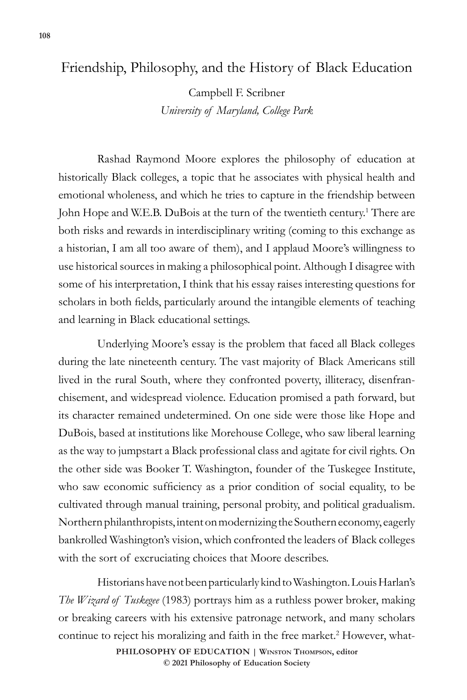## Friendship, Philosophy, and the History of Black Education

Campbell F. Scribner *University of Maryland, College Park*

Rashad Raymond Moore explores the philosophy of education at historically Black colleges, a topic that he associates with physical health and emotional wholeness, and which he tries to capture in the friendship between John Hope and W.E.B. DuBois at the turn of the twentieth century.<sup>1</sup> There are both risks and rewards in interdisciplinary writing (coming to this exchange as a historian, I am all too aware of them), and I applaud Moore's willingness to use historical sources in making a philosophical point. Although I disagree with some of his interpretation, I think that his essay raises interesting questions for scholars in both fields, particularly around the intangible elements of teaching and learning in Black educational settings.

Underlying Moore's essay is the problem that faced all Black colleges during the late nineteenth century. The vast majority of Black Americans still lived in the rural South, where they confronted poverty, illiteracy, disenfranchisement, and widespread violence. Education promised a path forward, but its character remained undetermined. On one side were those like Hope and DuBois, based at institutions like Morehouse College, who saw liberal learning as the way to jumpstart a Black professional class and agitate for civil rights. On the other side was Booker T. Washington, founder of the Tuskegee Institute, who saw economic sufficiency as a prior condition of social equality, to be cultivated through manual training, personal probity, and political gradualism. Northern philanthropists, intent on modernizing the Southern economy, eagerly bankrolled Washington's vision, which confronted the leaders of Black colleges with the sort of excruciating choices that Moore describes.

Historians have not been particularly kind to Washington. Louis Harlan's *The Wizard of Tuskegee* (1983) portrays him as a ruthless power broker, making or breaking careers with his extensive patronage network, and many scholars continue to reject his moralizing and faith in the free market.<sup>2</sup> However, what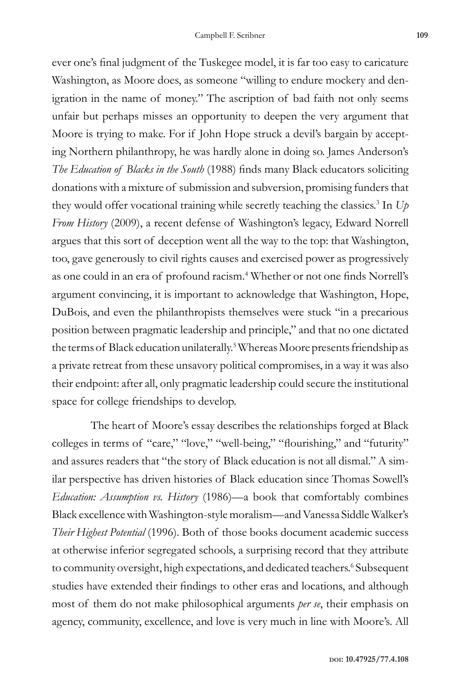ever one's final judgment of the Tuskegee model, it is far too easy to caricature Washington, as Moore does, as someone "willing to endure mockery and denigration in the name of money." The ascription of bad faith not only seems unfair but perhaps misses an opportunity to deepen the very argument that Moore is trying to make. For if John Hope struck a devil's bargain by accepting Northern philanthropy, he was hardly alone in doing so. James Anderson's *The Education of Blacks in the South* (1988) finds many Black educators soliciting donations with a mixture of submission and subversion, promising funders that they would offer vocational training while secretly teaching the classics.3 In *Up From History* (2009), a recent defense of Washington's legacy, Edward Norrell argues that this sort of deception went all the way to the top: that Washington, too, gave generously to civil rights causes and exercised power as progressively as one could in an era of profound racism.<sup>4</sup> Whether or not one finds Norrell's argument convincing, it is important to acknowledge that Washington, Hope, DuBois, and even the philanthropists themselves were stuck "in a precarious position between pragmatic leadership and principle," and that no one dictated the terms of Black education unilaterally.<sup>5</sup> Whereas Moore presents friendship as a private retreat from these unsavory political compromises, in a way it was also their endpoint: after all, only pragmatic leadership could secure the institutional space for college friendships to develop.

The heart of Moore's essay describes the relationships forged at Black colleges in terms of "care," "love," "well-being," "flourishing," and "futurity" and assures readers that "the story of Black education is not all dismal." A similar perspective has driven histories of Black education since Thomas Sowell's *Education: Assumption vs. History* (1986)—a book that comfortably combines Black excellence with Washington-style moralism—and Vanessa Siddle Walker's *Their Highest Potential* (1996). Both of those books document academic success at otherwise inferior segregated schools, a surprising record that they attribute to community oversight, high expectations, and dedicated teachers.<sup>6</sup> Subsequent studies have extended their findings to other eras and locations, and although most of them do not make philosophical arguments *per se*, their emphasis on agency, community, excellence, and love is very much in line with Moore's. All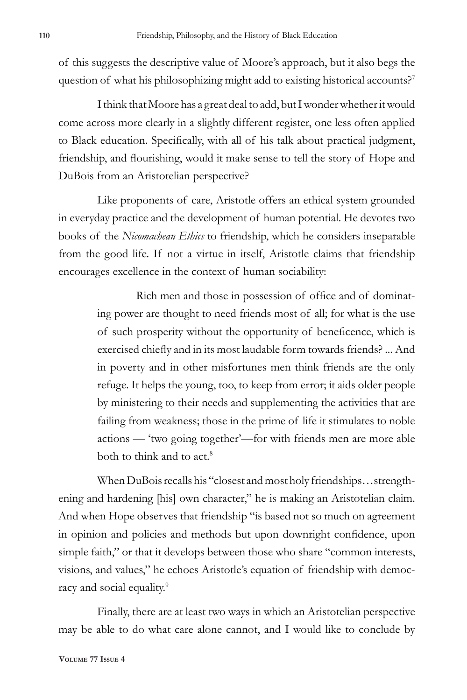of this suggests the descriptive value of Moore's approach, but it also begs the question of what his philosophizing might add to existing historical accounts?<sup>7</sup>

I think that Moore has a great deal to add, but I wonder whether it would come across more clearly in a slightly different register, one less often applied to Black education. Specifically, with all of his talk about practical judgment, friendship, and flourishing, would it make sense to tell the story of Hope and DuBois from an Aristotelian perspective?

Like proponents of care, Aristotle offers an ethical system grounded in everyday practice and the development of human potential. He devotes two books of the *Nicomachean Ethics* to friendship, which he considers inseparable from the good life. If not a virtue in itself, Aristotle claims that friendship encourages excellence in the context of human sociability:

> Rich men and those in possession of office and of dominating power are thought to need friends most of all; for what is the use of such prosperity without the opportunity of beneficence, which is exercised chiefly and in its most laudable form towards friends? ... And in poverty and in other misfortunes men think friends are the only refuge. It helps the young, too, to keep from error; it aids older people by ministering to their needs and supplementing the activities that are failing from weakness; those in the prime of life it stimulates to noble actions — 'two going together'—for with friends men are more able both to think and to act.<sup>8</sup>

When DuBois recalls his "closest and most holy friendships…strengthening and hardening [his] own character," he is making an Aristotelian claim. And when Hope observes that friendship "is based not so much on agreement in opinion and policies and methods but upon downright confidence, upon simple faith," or that it develops between those who share "common interests, visions, and values," he echoes Aristotle's equation of friendship with democracy and social equality.<sup>9</sup>

Finally, there are at least two ways in which an Aristotelian perspective may be able to do what care alone cannot, and I would like to conclude by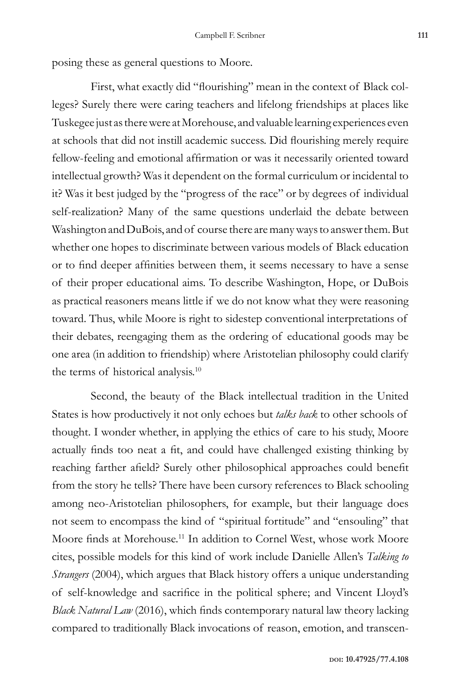posing these as general questions to Moore.

First, what exactly did "flourishing" mean in the context of Black colleges? Surely there were caring teachers and lifelong friendships at places like Tuskegee just as there were at Morehouse, and valuable learning experiences even at schools that did not instill academic success. Did flourishing merely require fellow-feeling and emotional affirmation or was it necessarily oriented toward intellectual growth? Was it dependent on the formal curriculum or incidental to it? Was it best judged by the "progress of the race" or by degrees of individual self-realization? Many of the same questions underlaid the debate between Washington and DuBois, and of course there are many ways to answer them. But whether one hopes to discriminate between various models of Black education or to find deeper affinities between them, it seems necessary to have a sense of their proper educational aims. To describe Washington, Hope, or DuBois as practical reasoners means little if we do not know what they were reasoning toward. Thus, while Moore is right to sidestep conventional interpretations of their debates, reengaging them as the ordering of educational goods may be one area (in addition to friendship) where Aristotelian philosophy could clarify the terms of historical analysis.<sup>10</sup>

Second, the beauty of the Black intellectual tradition in the United States is how productively it not only echoes but *talks back* to other schools of thought. I wonder whether, in applying the ethics of care to his study, Moore actually finds too neat a fit, and could have challenged existing thinking by reaching farther afield? Surely other philosophical approaches could benefit from the story he tells? There have been cursory references to Black schooling among neo-Aristotelian philosophers, for example, but their language does not seem to encompass the kind of "spiritual fortitude" and "ensouling" that Moore finds at Morehouse.<sup>11</sup> In addition to Cornel West, whose work Moore cites, possible models for this kind of work include Danielle Allen's *Talking to Strangers* (2004), which argues that Black history offers a unique understanding of self-knowledge and sacrifice in the political sphere; and Vincent Lloyd's *Black Natural Law* (2016), which finds contemporary natural law theory lacking compared to traditionally Black invocations of reason, emotion, and transcen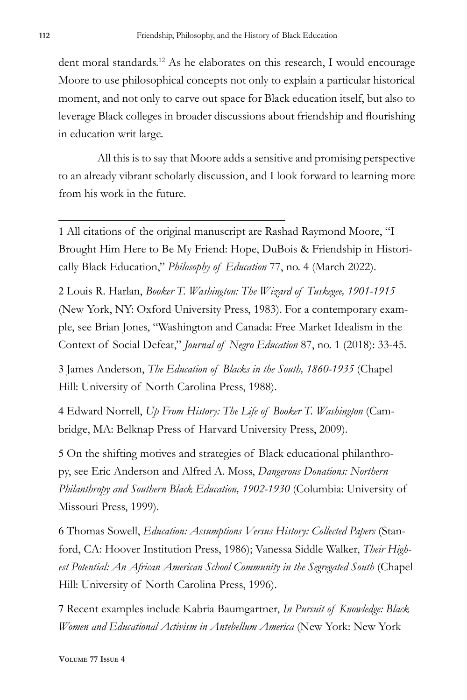dent moral standards.<sup>12</sup> As he elaborates on this research, I would encourage Moore to use philosophical concepts not only to explain a particular historical moment, and not only to carve out space for Black education itself, but also to leverage Black colleges in broader discussions about friendship and flourishing in education writ large.

All this is to say that Moore adds a sensitive and promising perspective to an already vibrant scholarly discussion, and I look forward to learning more from his work in the future.

1 All citations of the original manuscript are Rashad Raymond Moore, "I Brought Him Here to Be My Friend: Hope, DuBois & Friendship in Historically Black Education," *Philosophy of Education* 77, no. 4 (March 2022).

2 Louis R. Harlan, *Booker T. Washington: The Wizard of Tuskegee, 1901-1915*  (New York, NY: Oxford University Press, 1983). For a contemporary example, see Brian Jones, "Washington and Canada: Free Market Idealism in the Context of Social Defeat," *Journal of Negro Education* 87, no. 1 (2018): 33-45.

3 James Anderson, *The Education of Blacks in the South, 1860-1935* (Chapel Hill: University of North Carolina Press, 1988).

4 Edward Norrell, *Up From History: The Life of Booker T. Washington* (Cambridge, MA: Belknap Press of Harvard University Press, 2009).

5 On the shifting motives and strategies of Black educational philanthropy, see Eric Anderson and Alfred A. Moss, *Dangerous Donations: Northern Philanthropy and Southern Black Education, 1902-1930* (Columbia: University of Missouri Press, 1999).

6 Thomas Sowell, *Education: Assumptions Versus History: Collected Papers* (Stanford, CA: Hoover Institution Press, 1986); Vanessa Siddle Walker, *Their High*est Potential: An African American School Community in the Segregated South (Chapel Hill: University of North Carolina Press, 1996).

7 Recent examples include Kabria Baumgartner, *In Pursuit of Knowledge: Black Women and Educational Activism in Antebellum America* (New York: New York